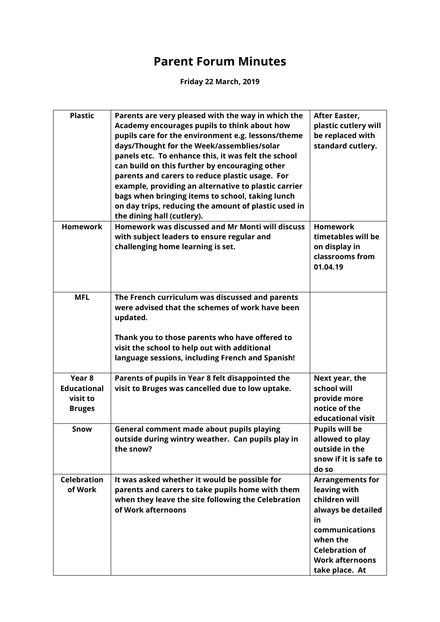## **Parent Forum Minutes**

**Friday 22 March, 2019**

| <b>Plastic</b>                                                       | Parents are very pleased with the way in which the<br>Academy encourages pupils to think about how<br>pupils care for the environment e.g. lessons/theme<br>days/Thought for the Week/assemblies/solar<br>panels etc. To enhance this, it was felt the school<br>can build on this further by encouraging other<br>parents and carers to reduce plastic usage. For<br>example, providing an alternative to plastic carrier<br>bags when bringing items to school, taking lunch<br>on day trips, reducing the amount of plastic used in<br>the dining hall (cutlery). | After Easter,<br>plastic cutlery will<br>be replaced with<br>standard cutlery.                                                                                                          |
|----------------------------------------------------------------------|----------------------------------------------------------------------------------------------------------------------------------------------------------------------------------------------------------------------------------------------------------------------------------------------------------------------------------------------------------------------------------------------------------------------------------------------------------------------------------------------------------------------------------------------------------------------|-----------------------------------------------------------------------------------------------------------------------------------------------------------------------------------------|
| <b>Homework</b>                                                      | Homework was discussed and Mr Monti will discuss<br>with subject leaders to ensure regular and<br>challenging home learning is set.                                                                                                                                                                                                                                                                                                                                                                                                                                  | <b>Homework</b><br>timetables will be<br>on display in<br>classrooms from<br>01.04.19                                                                                                   |
| <b>MFL</b>                                                           | The French curriculum was discussed and parents<br>were advised that the schemes of work have been<br>updated.<br>Thank you to those parents who have offered to<br>visit the school to help out with additional<br>language sessions, including French and Spanish!                                                                                                                                                                                                                                                                                                 |                                                                                                                                                                                         |
| Year <sub>8</sub><br><b>Educational</b><br>visit to<br><b>Bruges</b> | Parents of pupils in Year 8 felt disappointed the<br>visit to Bruges was cancelled due to low uptake.                                                                                                                                                                                                                                                                                                                                                                                                                                                                | Next year, the<br>school will<br>provide more<br>notice of the<br>educational visit                                                                                                     |
| Snow                                                                 | General comment made about pupils playing<br>outside during wintry weather. Can pupils play in<br>the snow?                                                                                                                                                                                                                                                                                                                                                                                                                                                          | <b>Pupils will be</b><br>allowed to play<br>outside in the<br>snow if it is safe to<br>do so                                                                                            |
| <b>Celebration</b><br>of Work                                        | It was asked whether it would be possible for<br>parents and carers to take pupils home with them<br>when they leave the site following the Celebration<br>of Work afternoons                                                                                                                                                                                                                                                                                                                                                                                        | <b>Arrangements for</b><br>leaving with<br>children will<br>always be detailed<br>in<br>communications<br>when the<br><b>Celebration of</b><br><b>Work afternoons</b><br>take place. At |